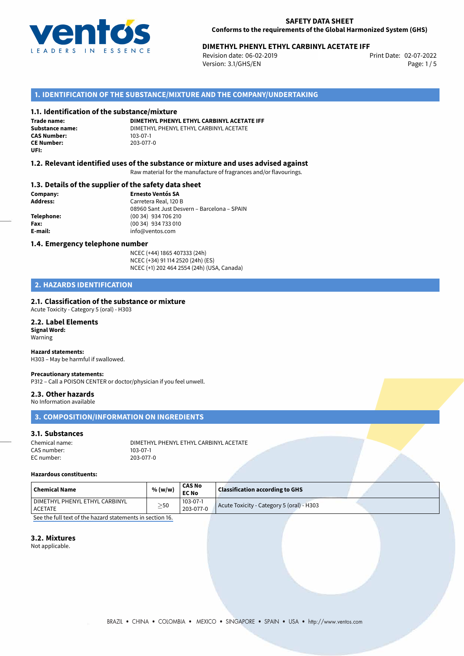

# 02-07-2022 **DIMETHYL PHENYL ETHYL CARBINYL ACETATE IFF**

Revision date: 06-02-2019 Version: 3.1/GHS/EN Page: 1 / 5

## **1. IDENTIFICATION OF THE SUBSTANCE/MIXTURE AND THE COMPANY/UNDERTAKING**

#### **1.1. Identification of the substance/mixture**

**Trade name: CAS Number: CE Number:** 203-077-0 **UFI:**

**DIMETHYL PHENYL ETHYL CARBINYL ACETATE IFF Substance name:** DIMETHYL PHENYL ETHYL CARBINYL ACETATE

## **1.2. Relevant identified uses of the substance or mixture and uses advised against**

Raw material for the manufacture of fragrances and/or flavourings.

## **1.3. Details of the supplier of the safety data sheet**

**Company: Ernesto Ventós SA Address:** Carretera Real, 120 B 08960 Sant Just Desvern – Barcelona – SPAIN **Telephone:** (00 34) 934 706 210 **Fax:** (00 34) 934 733 010 **E-mail:** info@ventos.com

### **1.4. Emergency telephone number**

NCEC (+44) 1865 407333 (24h) NCEC (+34) 91 114 2520 (24h) (ES) NCEC (+1) 202 464 2554 (24h) (USA, Canada)

## **2. HAZARDS IDENTIFICATION**

## **2.1. Classification of the substance or mixture**

Acute Toxicity - Category 5 (oral) - H303

## **2.2. Label Elements Signal Word:**

Warning

# **Hazard statements:**

H303 – May be harmful if swallowed.

## **Precautionary statements:**

P312 – Call a POISON CENTER or doctor/physician if you feel unwell.

## **2.3. Other hazards**

No Information available

## **3. COMPOSITION/INFORMATION ON INGREDIENTS**

#### **3.1. Substances**

| Chemical name: | DIMETHYL PHENYL ETHYL CARBINYL ACETATE |
|----------------|----------------------------------------|
| CAS number:    | 103-07-1                               |
| EC number:     | 203-077-0                              |

#### **Hazardous constituents:**

| $\mid$ Chemical Name           | % (w/w) | <b>CAS No</b><br><b>EC No</b> | <b>Classification according to GHS</b>    |
|--------------------------------|---------|-------------------------------|-------------------------------------------|
| DIMETHYL PHENYL ETHYL CARBINYL | $>$ 50  | 103-07-1                      | Acute Toxicity - Category 5 (oral) - H303 |
| <b>ACETATE</b><br>.            | _       | 203-077-0                     |                                           |

[See the full text of the hazard statements in section 16.](#page--1-0)

## **3.2. Mixtures**

Not applicable.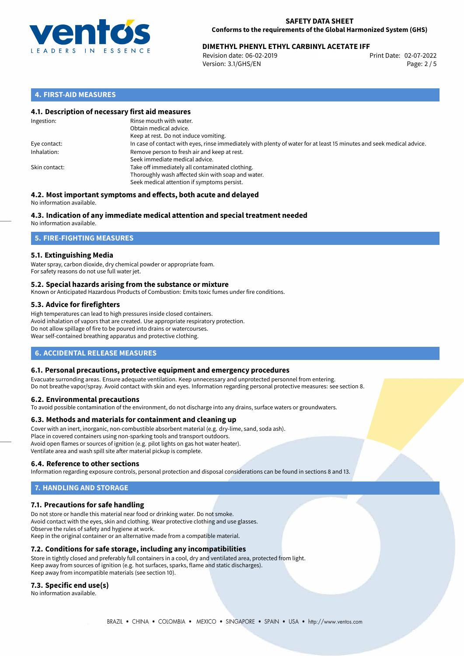

# 02-07-2022 **DIMETHYL PHENYL ETHYL CARBINYL ACETATE IFF**

Revision date: 06-02-2019 Version: 3.1/GHS/EN Page: 2 / 5

# **4. FIRST-AID MEASURES**

## **4.1. Description of necessary first aid measures**

| Ingestion:    | Rinse mouth with water.<br>Obtain medical advice.<br>Keep at rest. Do not induce vomiting.                                                           |
|---------------|------------------------------------------------------------------------------------------------------------------------------------------------------|
| Eye contact:  | In case of contact with eyes, rinse immediately with plenty of water for at least 15 minutes and seek medical advice.                                |
| Inhalation:   | Remove person to fresh air and keep at rest.<br>Seek immediate medical advice.                                                                       |
| Skin contact: | Take off immediately all contaminated clothing.<br>Thoroughly wash affected skin with soap and water.<br>Seek medical attention if symptoms persist. |

#### **4.2. Most important symptoms and effects, both acute and delayed** No information available.

# **4.3. Indication of any immediate medical attention and special treatment needed**

No information available.

# **5. FIRE-FIGHTING MEASURES**

## **5.1. Extinguishing Media**

Water spray, carbon dioxide, dry chemical powder or appropriate foam. For safety reasons do not use full water jet.

## **5.2. Special hazards arising from the substance or mixture**

Known or Anticipated Hazardous Products of Combustion: Emits toxic fumes under fire conditions.

## **5.3. Advice for firefighters**

High temperatures can lead to high pressures inside closed containers. Avoid inhalation of vapors that are created. Use appropriate respiratory protection. Do not allow spillage of fire to be poured into drains or watercourses. Wear self-contained breathing apparatus and protective clothing.

# **6. ACCIDENTAL RELEASE MEASURES**

## **6.1. Personal precautions, protective equipment and emergency procedures**

Evacuate surronding areas. Ensure adequate ventilation. Keep unnecessary and unprotected personnel from entering. Do not breathe vapor/spray. Avoid contact with skin and eyes. Information regarding personal protective measures: see section 8.

## **6.2. Environmental precautions**

To avoid possible contamination of the environment, do not discharge into any drains, surface waters or groundwaters.

## **6.3. Methods and materials for containment and cleaning up**

Cover with an inert, inorganic, non-combustible absorbent material (e.g. dry-lime, sand, soda ash). Place in covered containers using non-sparking tools and transport outdoors. Avoid open flames or sources of ignition (e.g. pilot lights on gas hot water heater). Ventilate area and wash spill site after material pickup is complete.

## **6.4. Reference to other sections**

Information regarding exposure controls, personal protection and disposal considerations can be found in sections 8 and 13.

# **7. HANDLING AND STORAGE**

## **7.1. Precautions for safe handling**

Do not store or handle this material near food or drinking water. Do not smoke. Avoid contact with the eyes, skin and clothing. Wear protective clothing and use glasses. Observe the rules of safety and hygiene at work. Keep in the original container or an alternative made from a compatible material.

# **7.2. Conditions for safe storage, including any incompatibilities**

Store in tightly closed and preferably full containers in a cool, dry and ventilated area, protected from light. Keep away from sources of ignition (e.g. hot surfaces, sparks, flame and static discharges). Keep away from incompatible materials (see section 10).

## **7.3. Specific end use(s)**

No information available.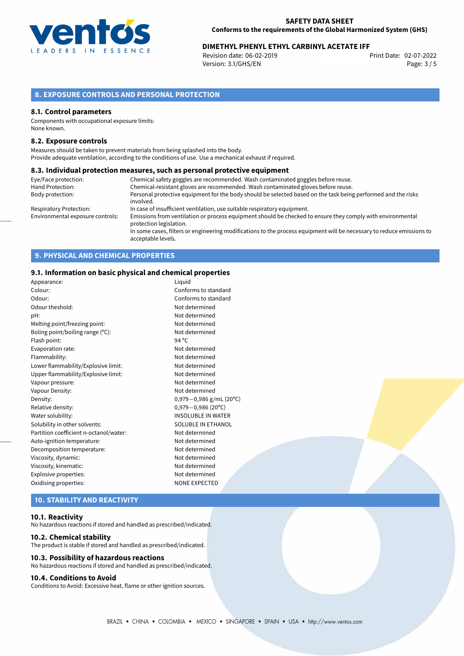

# **DIMETHYL PHENYL ETHYL CARBINYL ACETATE IFF**<br>Revision date: 06-02-2019<br>Print Date: 02-07-2022

Revision date: 06-02-2019 Version: 3.1/GHS/EN Page: 3 / 5

# **8. EXPOSURE CONTROLS AND PERSONAL PROTECTION**

### **8.1. Control parameters**

Components with occupational exposure limits: None known.

## **8.2. Exposure controls**

Measures should be taken to prevent materials from being splashed into the body. Provide adequate ventilation, according to the conditions of use. Use a mechanical exhaust if required.

## **8.3. Individual protection measures, such as personal protective equipment**

| Eye/Face protection:             | Chemical safety goggles are recommended. Wash contaminated goggles before reuse.                                                            |  |
|----------------------------------|---------------------------------------------------------------------------------------------------------------------------------------------|--|
| Hand Protection:                 | Chemical-resistant gloves are recommended. Wash contaminated gloves before reuse.                                                           |  |
| Body protection:                 | Personal protective equipment for the body should be selected based on the task being performed and the risks                               |  |
|                                  | involved.                                                                                                                                   |  |
| Respiratory Protection:          | In case of insufficient ventilation, use suitable respiratory equipment.                                                                    |  |
| Environmental exposure controls: | Emissions from ventilation or process equipment should be checked to ensure they comply with environmental<br>protection legislation.       |  |
|                                  | In some cases, filters or engineering modifications to the process equipment will be necessary to reduce emissions to<br>acceptable levels. |  |

# **9. PHYSICAL AND CHEMICAL PROPERTIES**

## **9.1. Information on basic physical and chemical properties**

| Appearance:                            | Liquid                      |
|----------------------------------------|-----------------------------|
| Colour:                                | Conforms to standard        |
| Odour:                                 | Conforms to standard        |
| Odour theshold:                        | Not determined              |
| pH:                                    | Not determined              |
| Melting point/freezing point:          | Not determined              |
| Boling point/boiling range (°C):       | Not determined              |
| Flash point:                           | 94 $^{\circ}$ C             |
| Evaporation rate:                      | Not determined              |
| Flammability:                          | Not determined              |
| Lower flammability/Explosive limit:    | Not determined              |
| Upper flammability/Explosive limit:    | Not determined              |
| Vapour pressure:                       | Not determined              |
| Vapour Density:                        | Not determined              |
| Density:                               | $0,979 - 0,986$ g/mL (20°C) |
| Relative density:                      | $0.979 - 0.986$ (20°C)      |
| Water solubility:                      | <b>INSOLUBLE IN WATER</b>   |
| Solubility in other solvents:          | SOLUBLE IN ETHANOL          |
| Partition coefficient n-octanol/water: | Not determined              |
| Auto-ignition temperature:             | Not determined              |
| Decomposition temperature:             | Not determined              |
| Viscosity, dynamic:                    | Not determined              |
| Viscosity, kinematic:                  | Not determined              |
| Explosive properties:                  | Not determined              |
| Oxidising properties:                  | <b>NONE EXPECTED</b>        |

# **10. STABILITY AND REACTIVITY**

## **10.1. Reactivity**

No hazardous reactions if stored and handled as prescribed/indicated.

#### **10.2. Chemical stability**

The product is stable if stored and handled as prescribed/indicated.

## **10.3. Possibility of hazardous reactions**

No hazardous reactions if stored and handled as prescribed/indicated.

## **10.4. Conditions to Avoid**

Conditions to Avoid: Excessive heat, flame or other ignition sources.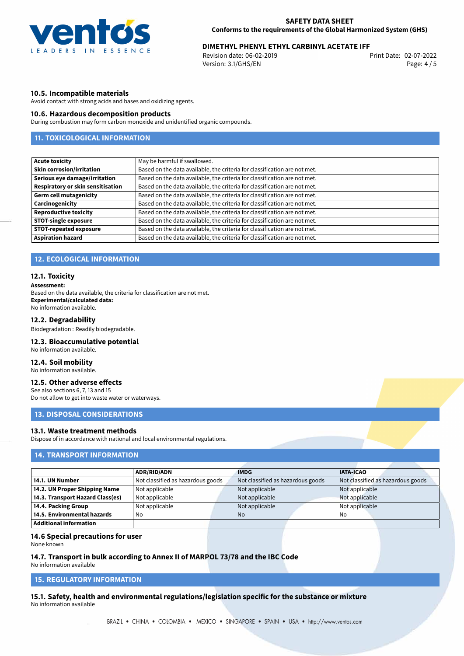

# 02-07-2022 **DIMETHYL PHENYL ETHYL CARBINYL ACETATE IFF**

Revision date: 06-02-2019 Version: 3.1/GHS/EN Page: 4 / 5

## **10.5. Incompatible materials**

Avoid contact with strong acids and bases and oxidizing agents.

## **10.6. Hazardous decomposition products**

During combustion may form carbon monoxide and unidentified organic compounds.

# **11. TOXICOLOGICAL INFORMATION**

| <b>Acute toxicity</b>             | May be harmful if swallowed.                                              |
|-----------------------------------|---------------------------------------------------------------------------|
| <b>Skin corrosion/irritation</b>  | Based on the data available, the criteria for classification are not met. |
| Serious eye damage/irritation     | Based on the data available, the criteria for classification are not met. |
| Respiratory or skin sensitisation | Based on the data available, the criteria for classification are not met. |
| <b>Germ cell mutagenicity</b>     | Based on the data available, the criteria for classification are not met. |
| Carcinogenicity                   | Based on the data available, the criteria for classification are not met. |
| <b>Reproductive toxicity</b>      | Based on the data available, the criteria for classification are not met. |
| <b>STOT-single exposure</b>       | Based on the data available, the criteria for classification are not met. |
| <b>STOT-repeated exposure</b>     | Based on the data available, the criteria for classification are not met. |
| <b>Aspiration hazard</b>          | Based on the data available, the criteria for classification are not met. |

## **12. ECOLOGICAL INFORMATION**

### **12.1. Toxicity**

#### **Assessment:**

Based on the data available, the criteria for classification are not met. **Experimental/calculated data:** No information available.

#### **12.2. Degradability**

Biodegradation : Readily biodegradable.

#### **12.3. Bioaccumulative potential**

No information available.

## **12.4. Soil mobility**

No information available.

## **12.5. Other adverse effects**

See also sections 6, 7, 13 and 15 Do not allow to get into waste water or waterways.

## **13. DISPOSAL CONSIDERATIONS**

#### **13.1. Waste treatment methods**

Dispose of in accordance with national and local environmental regulations.

## **14. TRANSPORT INFORMATION**

|                                  | <b>ADR/RID/ADN</b>                | <b>IMDG</b>                       | <b>IATA-ICAO</b>                  |
|----------------------------------|-----------------------------------|-----------------------------------|-----------------------------------|
| 14.1. UN Number                  | Not classified as hazardous goods | Not classified as hazardous goods | Not classified as hazardous goods |
| 14.2. UN Proper Shipping Name    | Not applicable                    | Not applicable                    | Not applicable                    |
| 14.3. Transport Hazard Class(es) | Not applicable                    | Not applicable                    | Not applicable                    |
| 14.4. Packing Group              | Not applicable                    | Not applicable                    | Not applicable                    |
| 14.5. Environmental hazards      | No                                | <b>No</b>                         | No                                |
| Additional information           |                                   |                                   |                                   |

## **14.6 Special precautions for user**

None known

## **14.7. Transport in bulk according to Annex II of MARPOL 73/78 and the IBC Code**

No information available

# **15. REGULATORY INFORMATION**

**15.1. Safety, health and environmental regulations/legislation specific for the substance or mixture** No information available